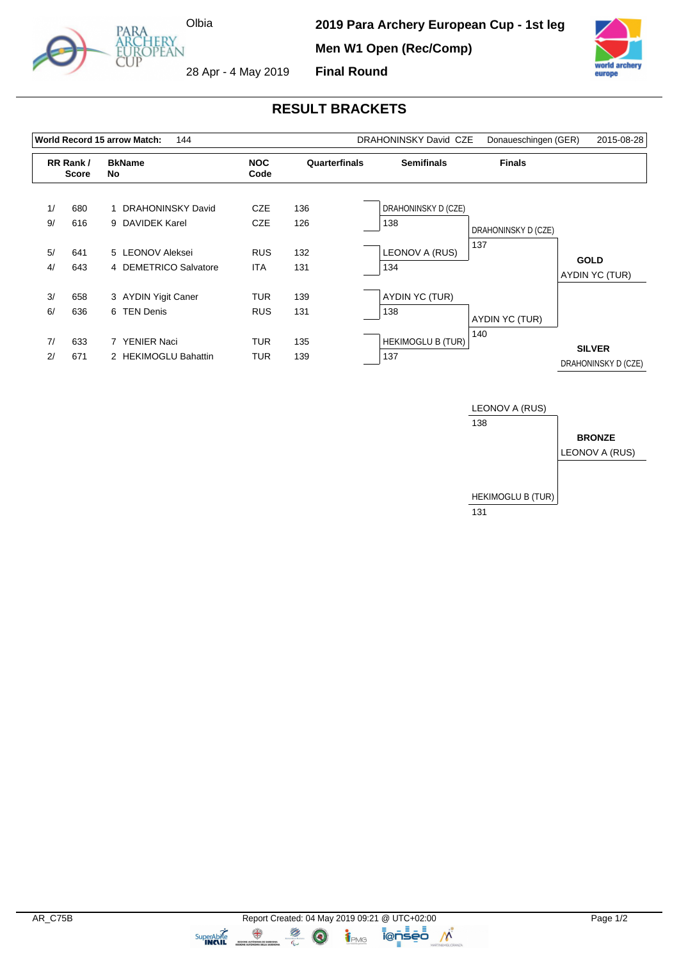

**2019 Para Archery European Cup - 1st leg Men W1 Open (Rec/Comp) Final Round**



28 Apr - 4 May 2019

## **RESULT BRACKETS**

|          |                          | World Record 15 arrow Match:<br>144       |                          |               | DRAHONINSKY David CZE           | Donaueschingen (GER) | 2015-08-28                           |
|----------|--------------------------|-------------------------------------------|--------------------------|---------------|---------------------------------|----------------------|--------------------------------------|
|          | RR Rank/<br><b>Score</b> | <b>BkName</b><br>No.                      | <b>NOC</b><br>Code       | Quarterfinals | <b>Semifinals</b>               | <b>Finals</b>        |                                      |
| 1/<br>9/ | 680<br>616               | 1 DRAHONINSKY David<br>9 DAVIDEK Karel    | <b>CZE</b><br><b>CZE</b> | 136<br>126    | DRAHONINSKY D (CZE)<br>138      | DRAHONINSKY D (CZE)  |                                      |
| 5/<br>4/ | 641<br>643               | 5 LEONOV Aleksei<br>4 DEMETRICO Salvatore | <b>RUS</b><br><b>ITA</b> | 132<br>131    | LEONOV A (RUS)<br>134           | 137                  | <b>GOLD</b><br>AYDIN YC (TUR)        |
| 3/<br>6/ | 658<br>636               | 3 AYDIN Yigit Caner<br>6 TEN Denis        | <b>TUR</b><br><b>RUS</b> | 139<br>131    | AYDIN YC (TUR)<br>138           | AYDIN YC (TUR)       |                                      |
| 7/<br>2/ | 633<br>671               | 7 YENIER Naci<br>2 HEKIMOGLU Bahattin     | <b>TUR</b><br><b>TUR</b> | 135<br>139    | <b>HEKIMOGLU B (TUR)</b><br>137 | 140                  | <b>SILVER</b><br>DRAHONINSKY D (CZE) |